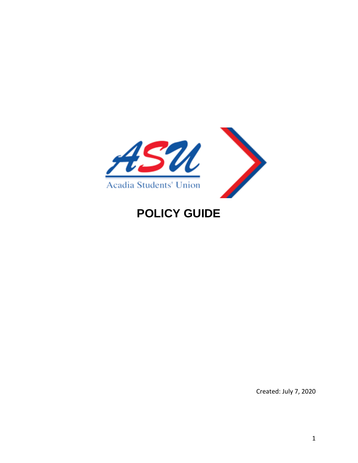

# **POLICY GUIDE**

Created: July 7, 2020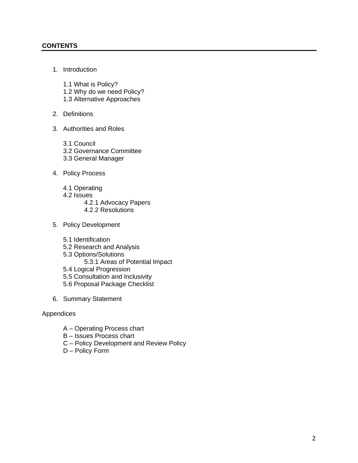#### **CONTENTS**

1. Introduction

1.1 What is Policy? 1.2 Why do we need Policy? 1.3 Alternative Approaches

- 2. Definitions
- 3. Authorities and Roles
	- 3.1 Council 3.2 Governance Committee 3.3 General Manager
- 4. Policy Process
	- 4.1 Operating
	- 4.2 Issues
		- 4.2.1 Advocacy Papers
		- 4.2.2 Resolutions
- 5. Policy Development
	- 5.1 Identification
	- 5.2 Research and Analysis
	- 5.3 Options/Solutions
		- 5.3.1 Areas of Potential Impact
	- 5.4 Logical Progression
	- 5.5 Consultation and Inclusivity
	- 5.6 Proposal Package Checklist
- 6. Summary Statement

#### Appendices

- A Operating Process chart
- B Issues Process chart
- C Policy Development and Review Policy
- D Policy Form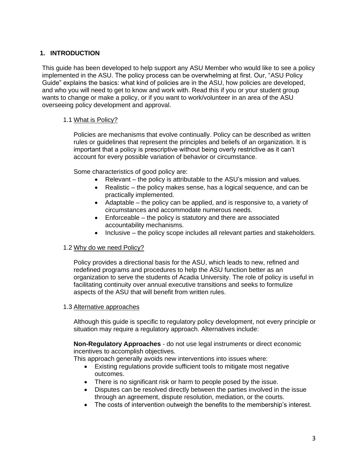#### **1. INTRODUCTION**

This guide has been developed to help support any ASU Member who would like to see a policy implemented in the ASU. The policy process can be overwhelming at first. Our, "ASU Policy Guide" explains the basics: what kind of policies are in the ASU, how policies are developed, and who you will need to get to know and work with. Read this if you or your student group wants to change or make a policy, or if you want to work/volunteer in an area of the ASU overseeing policy development and approval.

#### 1.1 What is Policy?

Policies are mechanisms that evolve continually. Policy can be described as written rules or guidelines that represent the principles and beliefs of an organization. It is important that a policy is prescriptive without being overly restrictive as it can't account for every possible variation of behavior or circumstance.

Some characteristics of good policy are:

- Relevant the policy is attributable to the ASU's mission and values.
- Realistic the policy makes sense, has a logical sequence, and can be practically implemented.
- Adaptable the policy can be applied, and is responsive to, a variety of circumstances and accommodate numerous needs.
- Enforceable the policy is statutory and there are associated accountability mechanisms.
- Inclusive the policy scope includes all relevant parties and stakeholders.

#### 1.2 Why do we need Policy?

Policy provides a directional basis for the ASU, which leads to new, refined and redefined programs and procedures to help the ASU function better as an organization to serve the students of Acadia University. The role of policy is useful in facilitating continuity over annual executive transitions and seeks to formulize aspects of the ASU that will benefit from written rules.

#### 1.3 Alternative approaches

Although this guide is specific to regulatory policy development, not every principle or situation may require a regulatory approach. Alternatives include:

**Non-Regulatory Approaches** - do not use legal instruments or direct economic incentives to accomplish objectives.

This approach generally avoids new interventions into issues where:

- Existing regulations provide sufficient tools to mitigate most negative outcomes.
- There is no significant risk or harm to people posed by the issue.
- Disputes can be resolved directly between the parties involved in the issue through an agreement, dispute resolution, mediation, or the courts.
- The costs of intervention outweigh the benefits to the membership's interest.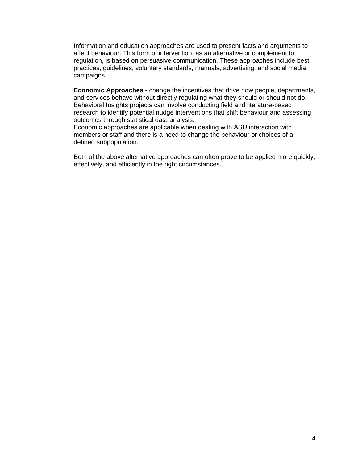Information and education approaches are used to present facts and arguments to affect behaviour. This form of intervention, as an alternative or complement to regulation, is based on persuasive communication. These approaches include best practices, guidelines, voluntary standards, manuals, advertising, and social media campaigns.

**Economic Approaches** - change the incentives that drive how people, departments, and services behave without directly regulating what they should or should not do. Behavioral Insights projects can involve conducting field and literature-based research to identify potential nudge interventions that shift behaviour and assessing outcomes through statistical data analysis.

Economic approaches are applicable when dealing with ASU interaction with members or staff and there is a need to change the behaviour or choices of a defined subpopulation.

Both of the above alternative approaches can often prove to be applied more quickly, effectively, and efficiently in the right circumstances.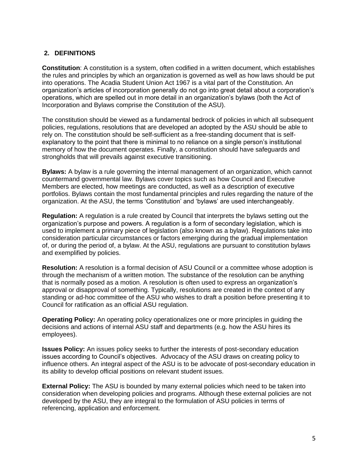## **2. DEFINITIONS**

**Constitution**: A constitution is a system, often codified in a written document, which establishes the rules and principles by which an organization is governed as well as how laws should be put into operations. The Acadia Student Union Act 1967 is a vital part of the Constitution. An organization's articles of incorporation generally do not go into great detail about a corporation's operations, which are spelled out in more detail in an organization's bylaws (both the Act of Incorporation and Bylaws comprise the Constitution of the ASU).

The constitution should be viewed as a fundamental bedrock of policies in which all subsequent policies, regulations, resolutions that are developed an adopted by the ASU should be able to rely on. The constitution should be self-sufficient as a free-standing document that is selfexplanatory to the point that there is minimal to no reliance on a single person's institutional memory of how the document operates. Finally, a constitution should have safeguards and strongholds that will prevails against executive transitioning.

**Bylaws:** A bylaw is a rule governing the internal management of an organization, which cannot countermand governmental law. Bylaws cover topics such as how Council and Executive Members are elected, how meetings are conducted, as well as a description of executive portfolios. Bylaws contain the most fundamental principles and rules regarding the nature of the organization. At the ASU, the terms 'Constitution' and 'bylaws' are used interchangeably.

**Regulation:** A regulation is a rule created by Council that interprets the bylaws setting out the organization's purpose and powers. A regulation is a form of secondary legislation, which is used to implement a primary piece of legislation (also known as a bylaw). Regulations take into consideration particular circumstances or factors emerging during the gradual implementation of, or during the period of, a bylaw. At the ASU, regulations are pursuant to constitution bylaws and exemplified by policies.

**Resolution:** A resolution is a formal decision of ASU Council or a committee whose adoption is through the mechanism of a written motion. The substance of the resolution can be anything that is normally posed as a motion. A resolution is often used to express an organization's approval or disapproval of something. Typically, resolutions are created in the context of any standing or ad-hoc committee of the ASU who wishes to draft a position before presenting it to Council for ratification as an official ASU regulation.

**Operating Policy:** An operating policy operationalizes one or more principles in guiding the decisions and actions of internal ASU staff and departments (e.g. how the ASU hires its employees).

**Issues Policy:** An issues policy seeks to further the interests of post-secondary education issues according to Council's objectives. Advocacy of the ASU draws on creating policy to influence others. An integral aspect of the ASU is to be advocate of post-secondary education in its ability to develop official positions on relevant student issues.

**External Policy:** The ASU is bounded by many external policies which need to be taken into consideration when developing policies and programs. Although these external policies are not developed by the ASU, they are integral to the formulation of ASU policies in terms of referencing, application and enforcement.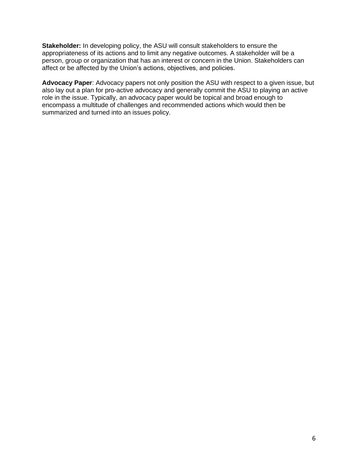**Stakeholder:** In developing policy, the ASU will consult stakeholders to ensure the appropriateness of its actions and to limit any negative outcomes. A stakeholder will be a person, group or organization that has an interest or concern in the Union. Stakeholders can affect or be affected by the Union's actions, objectives, and policies.

**Advocacy Paper**: Advocacy papers not only position the ASU with respect to a given issue, but also lay out a plan for pro-active advocacy and generally commit the ASU to playing an active role in the issue. Typically, an advocacy paper would be topical and broad enough to encompass a multitude of challenges and recommended actions which would then be summarized and turned into an issues policy.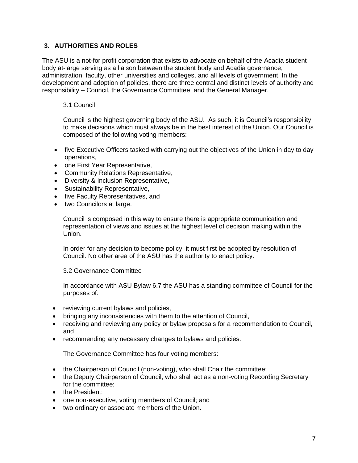## **3. AUTHORITIES AND ROLES**

The ASU is a not-for profit corporation that exists to advocate on behalf of the Acadia student body at-large serving as a liaison between the student body and Acadia governance, administration, faculty, other universities and colleges, and all levels of government. In the development and adoption of policies, there are three central and distinct levels of authority and responsibility – Council, the Governance Committee, and the General Manager.

#### 3.1 Council

Council is the highest governing body of the ASU. As such, it is Council's responsibility to make decisions which must always be in the best interest of the Union. Our Council is composed of the following voting members:

- five Executive Officers tasked with carrying out the objectives of the Union in day to day operations,
- one First Year Representative,
- Community Relations Representative,
- Diversity & Inclusion Representative,
- Sustainability Representative,
- five Faculty Representatives, and
- two Councilors at large.

Council is composed in this way to ensure there is appropriate communication and representation of views and issues at the highest level of decision making within the Union.

In order for any decision to become policy, it must first be adopted by resolution of Council. No other area of the ASU has the authority to enact policy.

#### 3.2 Governance Committee

In accordance with ASU Bylaw 6.7 the ASU has a standing committee of Council for the purposes of:

- reviewing current bylaws and policies,
- bringing any inconsistencies with them to the attention of Council.
- receiving and reviewing any policy or bylaw proposals for a recommendation to Council, and
- recommending any necessary changes to bylaws and policies.

The Governance Committee has four voting members:

- the Chairperson of Council (non-voting), who shall Chair the committee;
- the Deputy Chairperson of Council, who shall act as a non-voting Recording Secretary for the committee;
- the President;
- one non-executive, voting members of Council; and
- two ordinary or associate members of the Union.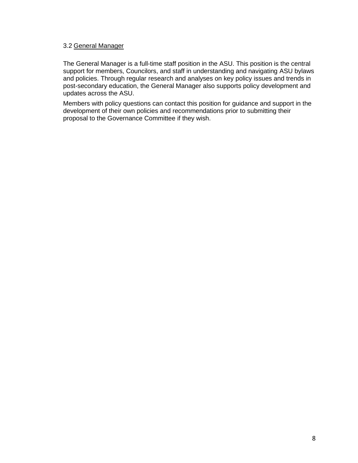#### 3.2 General Manager

The General Manager is a full-time staff position in the ASU. This position is the central support for members, Councilors, and staff in understanding and navigating ASU bylaws and policies. Through regular research and analyses on key policy issues and trends in post-secondary education, the General Manager also supports policy development and updates across the ASU.

Members with policy questions can contact this position for guidance and support in the development of their own policies and recommendations prior to submitting their proposal to the Governance Committee if they wish.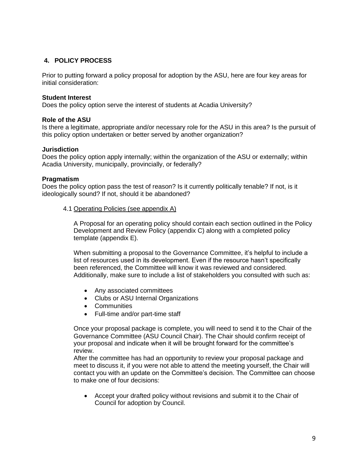## **4. POLICY PROCESS**

Prior to putting forward a policy proposal for adoption by the ASU, here are four key areas for initial consideration:

#### **Student Interest**

Does the policy option serve the interest of students at Acadia University?

#### **Role of the ASU**

Is there a legitimate, appropriate and/or necessary role for the ASU in this area? Is the pursuit of this policy option undertaken or better served by another organization?

#### **Jurisdiction**

Does the policy option apply internally; within the organization of the ASU or externally; within Acadia University, municipally, provincially, or federally?

#### **Pragmatism**

Does the policy option pass the test of reason? Is it currently politically tenable? If not, is it ideologically sound? If not, should it be abandoned?

4.1 Operating Policies (see appendix A)

A Proposal for an operating policy should contain each section outlined in the Policy Development and Review Policy (appendix C) along with a completed policy template (appendix E).

When submitting a proposal to the Governance Committee, it's helpful to include a list of resources used in its development. Even if the resource hasn't specifically been referenced, the Committee will know it was reviewed and considered. Additionally, make sure to include a list of stakeholders you consulted with such as:

- Any associated committees
- Clubs or ASU Internal Organizations
- Communities
- Full-time and/or part-time staff

Once your proposal package is complete, you will need to send it to the Chair of the Governance Committee (ASU Council Chair). The Chair should confirm receipt of your proposal and indicate when it will be brought forward for the committee's review.

After the committee has had an opportunity to review your proposal package and meet to discuss it, if you were not able to attend the meeting yourself, the Chair will contact you with an update on the Committee's decision. The Committee can choose to make one of four decisions:

• Accept your drafted policy without revisions and submit it to the Chair of Council for adoption by Council.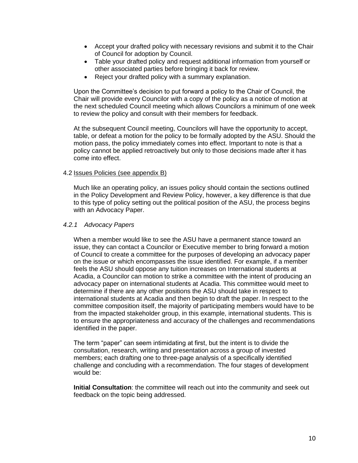- Accept your drafted policy with necessary revisions and submit it to the Chair of Council for adoption by Council.
- Table your drafted policy and request additional information from yourself or other associated parties before bringing it back for review.
- Reject your drafted policy with a summary explanation.

Upon the Committee's decision to put forward a policy to the Chair of Council, the Chair will provide every Councilor with a copy of the policy as a notice of motion at the next scheduled Council meeting which allows Councilors a minimum of one week to review the policy and consult with their members for feedback.

At the subsequent Council meeting, Councilors will have the opportunity to accept, table, or defeat a motion for the policy to be formally adopted by the ASU. Should the motion pass, the policy immediately comes into effect. Important to note is that a policy cannot be applied retroactively but only to those decisions made after it has come into effect.

#### 4.2 Issues Policies (see appendix B)

Much like an operating policy, an issues policy should contain the sections outlined in the Policy Development and Review Policy, however, a key difference is that due to this type of policy setting out the political position of the ASU, the process begins with an Advocacy Paper.

#### *4.2.1 Advocacy Papers*

When a member would like to see the ASU have a permanent stance toward an issue, they can contact a Councilor or Executive member to bring forward a motion of Council to create a committee for the purposes of developing an advocacy paper on the issue or which encompasses the issue identified. For example, if a member feels the ASU should oppose any tuition increases on International students at Acadia, a Councilor can motion to strike a committee with the intent of producing an advocacy paper on international students at Acadia. This committee would meet to determine if there are any other positions the ASU should take in respect to international students at Acadia and then begin to draft the paper. In respect to the committee composition itself, the majority of participating members would have to be from the impacted stakeholder group, in this example, international students. This is to ensure the appropriateness and accuracy of the challenges and recommendations identified in the paper.

The term "paper" can seem intimidating at first, but the intent is to divide the consultation, research, writing and presentation across a group of invested members; each drafting one to three-page analysis of a specifically identified challenge and concluding with a recommendation. The four stages of development would be:

**Initial Consultation**: the committee will reach out into the community and seek out feedback on the topic being addressed.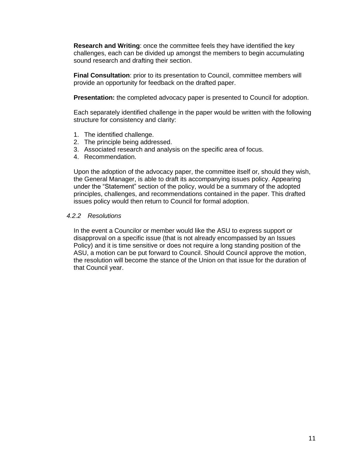**Research and Writing**: once the committee feels they have identified the key challenges, each can be divided up amongst the members to begin accumulating sound research and drafting their section.

**Final Consultation**: prior to its presentation to Council, committee members will provide an opportunity for feedback on the drafted paper.

**Presentation:** the completed advocacy paper is presented to Council for adoption.

Each separately identified challenge in the paper would be written with the following structure for consistency and clarity:

- 1. The identified challenge.
- 2. The principle being addressed.
- 3. Associated research and analysis on the specific area of focus.
- 4. Recommendation.

Upon the adoption of the advocacy paper, the committee itself or, should they wish, the General Manager, is able to draft its accompanying issues policy. Appearing under the "Statement" section of the policy, would be a summary of the adopted principles, challenges, and recommendations contained in the paper. This drafted issues policy would then return to Council for formal adoption.

#### *4.2.2 Resolutions*

In the event a Councilor or member would like the ASU to express support or disapproval on a specific issue (that is not already encompassed by an Issues Policy) and it is time sensitive or does not require a long standing position of the ASU, a motion can be put forward to Council. Should Council approve the motion, the resolution will become the stance of the Union on that issue for the duration of that Council year.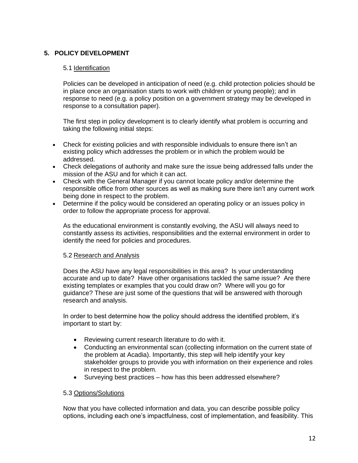## **5. POLICY DEVELOPMENT**

#### 5.1 Identification

Policies can be developed in anticipation of need (e.g. child protection policies should be in place once an organisation starts to work with children or young people); and in response to need (e.g. a policy position on a government strategy may be developed in response to a consultation paper).

The first step in policy development is to clearly identify what problem is occurring and taking the following initial steps:

- Check for existing policies and with responsible individuals to ensure there isn't an existing policy which addresses the problem or in which the problem would be addressed.
- Check delegations of authority and make sure the issue being addressed falls under the mission of the ASU and for which it can act.
- Check with the General Manager if you cannot locate policy and/or determine the responsible office from other sources as well as making sure there isn't any current work being done in respect to the problem.
- Determine if the policy would be considered an operating policy or an issues policy in order to follow the appropriate process for approval.

As the educational environment is constantly evolving, the ASU will always need to constantly assess its activities, responsibilities and the external environment in order to identify the need for policies and procedures.

#### 5.2 Research and Analysis

Does the ASU have any legal responsibilities in this area? Is your understanding accurate and up to date? Have other organisations tackled the same issue? Are there existing templates or examples that you could draw on? Where will you go for guidance? These are just some of the questions that will be answered with thorough research and analysis.

In order to best determine how the policy should address the identified problem, it's important to start by:

- Reviewing current research literature to do with it.
- Conducting an environmental scan (collecting information on the current state of the problem at Acadia). Importantly, this step will help identify your key stakeholder groups to provide you with information on their experience and roles in respect to the problem.
- Surveying best practices how has this been addressed elsewhere?

#### 5.3 Options/Solutions

Now that you have collected information and data, you can describe possible policy options, including each one's impactfulness, cost of implementation, and feasibility. This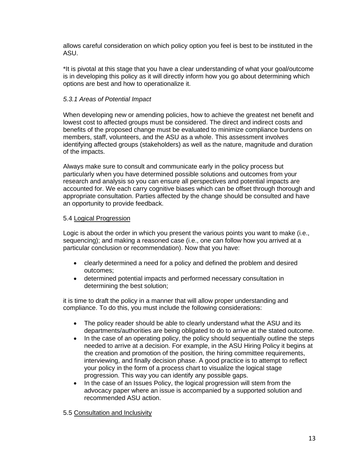allows careful consideration on which policy option you feel is best to be instituted in the ASU.

\*It is pivotal at this stage that you have a clear understanding of what your goal/outcome is in developing this policy as it will directly inform how you go about determining which options are best and how to operationalize it.

#### *5.3.1 Areas of Potential Impact*

When developing new or amending policies, how to achieve the greatest net benefit and lowest cost to affected groups must be considered. The direct and indirect costs and benefits of the proposed change must be evaluated to minimize compliance burdens on members, staff, volunteers, and the ASU as a whole. This assessment involves identifying affected groups (stakeholders) as well as the nature, magnitude and duration of the impacts.

Always make sure to consult and communicate early in the policy process but particularly when you have determined possible solutions and outcomes from your research and analysis so you can ensure all perspectives and potential impacts are accounted for. We each carry cognitive biases which can be offset through thorough and appropriate consultation. Parties affected by the change should be consulted and have an opportunity to provide feedback.

#### 5.4 Logical Progression

Logic is about the order in which you present the various points you want to make (i.e., sequencing); and making a reasoned case (i.e., one can follow how you arrived at a particular conclusion or recommendation). Now that you have:

- clearly determined a need for a policy and defined the problem and desired outcomes;
- determined potential impacts and performed necessary consultation in determining the best solution;

it is time to draft the policy in a manner that will allow proper understanding and compliance. To do this, you must include the following considerations:

- The policy reader should be able to clearly understand what the ASU and its departments/authorities are being obligated to do to arrive at the stated outcome.
- In the case of an operating policy, the policy should sequentially outline the steps needed to arrive at a decision. For example, in the ASU Hiring Policy it begins at the creation and promotion of the position, the hiring committee requirements, interviewing, and finally decision phase. A good practice is to attempt to reflect your policy in the form of a process chart to visualize the logical stage progression. This way you can identify any possible gaps.
- In the case of an Issues Policy, the logical progression will stem from the advocacy paper where an issue is accompanied by a supported solution and recommended ASU action.

#### 5.5 Consultation and Inclusivity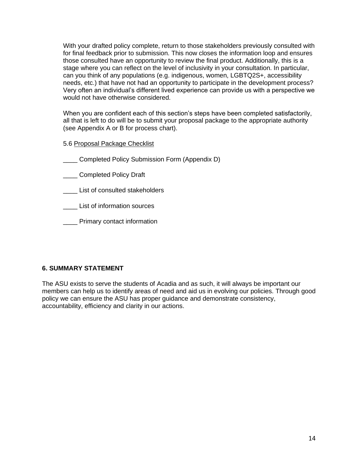With your drafted policy complete, return to those stakeholders previously consulted with for final feedback prior to submission. This now closes the information loop and ensures those consulted have an opportunity to review the final product. Additionally, this is a stage where you can reflect on the level of inclusivity in your consultation. In particular, can you think of any populations (e.g. indigenous, women, LGBTQ2S+, accessibility needs, etc.) that have not had an opportunity to participate in the development process? Very often an individual's different lived experience can provide us with a perspective we would not have otherwise considered.

When you are confident each of this section's steps have been completed satisfactorily, all that is left to do will be to submit your proposal package to the appropriate authority (see Appendix A or B for process chart).

5.6 Proposal Package Checklist

\_\_\_\_ Completed Policy Submission Form (Appendix D)

\_\_\_\_ Completed Policy Draft

List of consulted stakeholders

\_\_\_\_ List of information sources

**\_\_\_\_\_** Primary contact information

#### **6. SUMMARY STATEMENT**

The ASU exists to serve the students of Acadia and as such, it will always be important our members can help us to identify areas of need and aid us in evolving our policies. Through good policy we can ensure the ASU has proper guidance and demonstrate consistency, accountability, efficiency and clarity in our actions.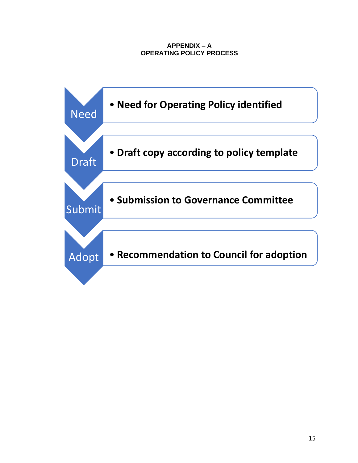## **APPENDIX – A OPERATING POLICY PROCESS**

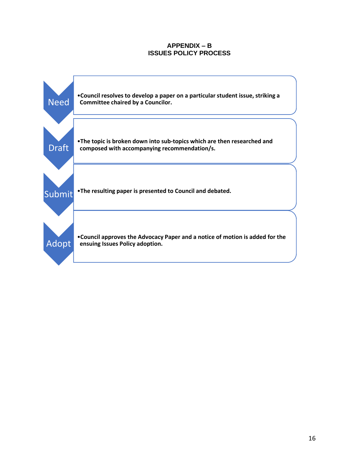#### **APPENDIX – B ISSUES POLICY PROCESS**

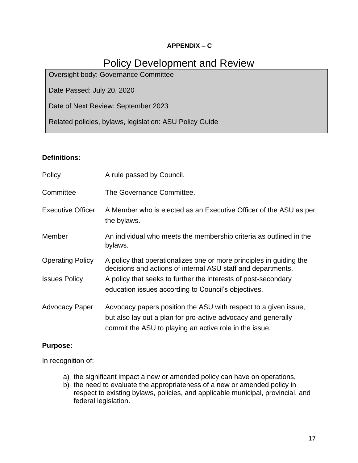## **APPENDIX – C**

## Policy Development and Review

Oversight body: Governance Committee

Date Passed: July 20, 2020

Date of Next Review: September 2023

Related policies, bylaws, legislation: ASU Policy Guide

## **Definitions:**

| Policy                   | A rule passed by Council.                                                                                                           |
|--------------------------|-------------------------------------------------------------------------------------------------------------------------------------|
| Committee                | The Governance Committee.                                                                                                           |
| <b>Executive Officer</b> | A Member who is elected as an Executive Officer of the ASU as per<br>the bylaws.                                                    |
| Member                   | An individual who meets the membership criteria as outlined in the<br>bylaws.                                                       |
| <b>Operating Policy</b>  | A policy that operationalizes one or more principles in guiding the<br>decisions and actions of internal ASU staff and departments. |
| <b>Issues Policy</b>     | A policy that seeks to further the interests of post-secondary                                                                      |
|                          | education issues according to Council's objectives.                                                                                 |
| <b>Advocacy Paper</b>    | Advocacy papers position the ASU with respect to a given issue,                                                                     |
|                          | but also lay out a plan for pro-active advocacy and generally                                                                       |
|                          | commit the ASU to playing an active role in the issue.                                                                              |

## **Purpose:**

In recognition of:

- a) the significant impact a new or amended policy can have on operations,
- b) the need to evaluate the appropriateness of a new or amended policy in respect to existing bylaws, policies, and applicable municipal, provincial, and federal legislation.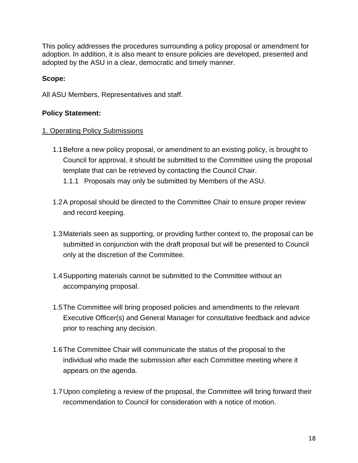This policy addresses the procedures surrounding a policy proposal or amendment for adoption. In addition, it is also meant to ensure policies are developed, presented and adopted by the ASU in a clear, democratic and timely manner.

## **Scope:**

All ASU Members, Representatives and staff.

## **Policy Statement:**

## 1. Operating Policy Submissions

- 1.1Before a new policy proposal, or amendment to an existing policy, is brought to Council for approval, it should be submitted to the Committee using the proposal template that can be retrieved by contacting the Council Chair.
	- 1.1.1 Proposals may only be submitted by Members of the ASU.
- 1.2A proposal should be directed to the Committee Chair to ensure proper review and record keeping.
- 1.3Materials seen as supporting, or providing further context to, the proposal can be submitted in conjunction with the draft proposal but will be presented to Council only at the discretion of the Committee.
- 1.4Supporting materials cannot be submitted to the Committee without an accompanying proposal.
- 1.5The Committee will bring proposed policies and amendments to the relevant Executive Officer(s) and General Manager for consultative feedback and advice prior to reaching any decision.
- 1.6The Committee Chair will communicate the status of the proposal to the individual who made the submission after each Committee meeting where it appears on the agenda.
- 1.7Upon completing a review of the proposal, the Committee will bring forward their recommendation to Council for consideration with a notice of motion.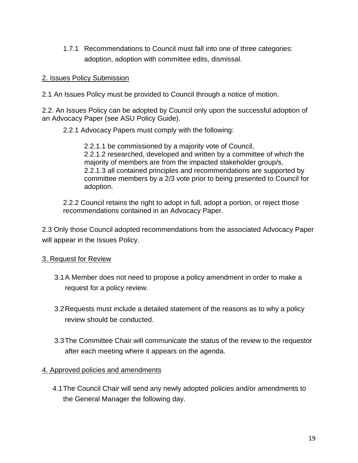1.7.1 Recommendations to Council must fall into one of three categories: adoption, adoption with committee edits, dismissal.

## 2. Issues Policy Submission

2.1 An Issues Policy must be provided to Council through a notice of motion.

2.2. An Issues Policy can be adopted by Council only upon the successful adoption of an Advocacy Paper (see ASU Policy Guide).

2.2.1 Advocacy Papers must comply with the following:

2.2.1.1 be commissioned by a majority vote of Council, 2.2.1.2 researched, developed and written by a committee of which the majority of members are from the impacted stakeholder group/s, 2.2.1.3 all contained principles and recommendations are supported by committee members by a 2/3 vote prior to being presented to Council for adoption.

2.2.2 Council retains the right to adopt in full, adopt a portion, or reject those recommendations contained in an Advocacy Paper.

2.3 Only those Council adopted recommendations from the associated Advocacy Paper will appear in the Issues Policy.

## 3. Request for Review

- 3.1A Member does not need to propose a policy amendment in order to make a request for a policy review.
- 3.2Requests must include a detailed statement of the reasons as to why a policy review should be conducted.
- 3.3The Committee Chair will communicate the status of the review to the requestor after each meeting where it appears on the agenda.

## 4. Approved policies and amendments

4.1The Council Chair will send any newly adopted policies and/or amendments to the General Manager the following day.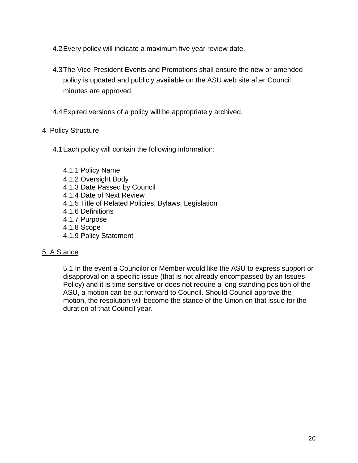- 4.2Every policy will indicate a maximum five year review date.
- 4.3The Vice-President Events and Promotions shall ensure the new or amended policy is updated and publicly available on the ASU web site after Council minutes are approved.
- 4.4Expired versions of a policy will be appropriately archived.

## 4. Policy Structure

- 4.1Each policy will contain the following information:
	- 4.1.1 Policy Name
	- 4.1.2 Oversight Body
	- 4.1.3 Date Passed by Council
	- 4.1.4 Date of Next Review
	- 4.1.5 Title of Related Policies, Bylaws, Legislation
	- 4.1.6 Definitions
	- 4.1.7 Purpose
	- 4.1.8 Scope
	- 4.1.9 Policy Statement

## 5. A Stance

5.1 In the event a Councilor or Member would like the ASU to express support or disapproval on a specific issue (that is not already encompassed by an Issues Policy) and it is time sensitive or does not require a long standing position of the ASU, a motion can be put forward to Council. Should Council approve the motion, the resolution will become the stance of the Union on that issue for the duration of that Council year.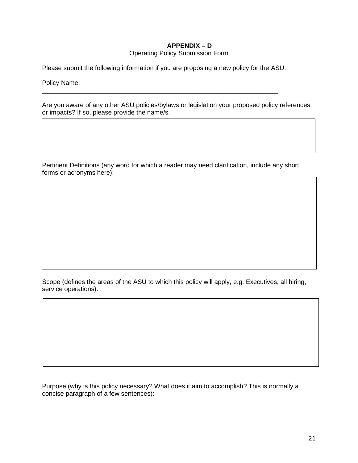## **APPENDIX – D**

#### Operating Policy Submission Form

Please submit the following information if you are proposing a new policy for the ASU.

\_\_\_\_\_\_\_\_\_\_\_\_\_\_\_\_\_\_\_\_\_\_\_\_\_\_\_\_\_\_\_\_\_\_\_\_\_\_\_\_\_\_\_\_\_\_\_\_\_\_\_\_\_\_\_\_\_\_\_\_\_\_\_\_\_\_

Policy Name:

Are you aware of any other ASU policies/bylaws or legislation your proposed policy references or impacts? If so, please provide the name/s.

Pertinent Definitions (any word for which a reader may need clarification, include any short forms or acronyms here):

Scope (defines the areas of the ASU to which this policy will apply, e.g. Executives, all hiring, service operations):

Purpose (why is this policy necessary? What does it aim to accomplish? This is normally a concise paragraph of a few sentences):